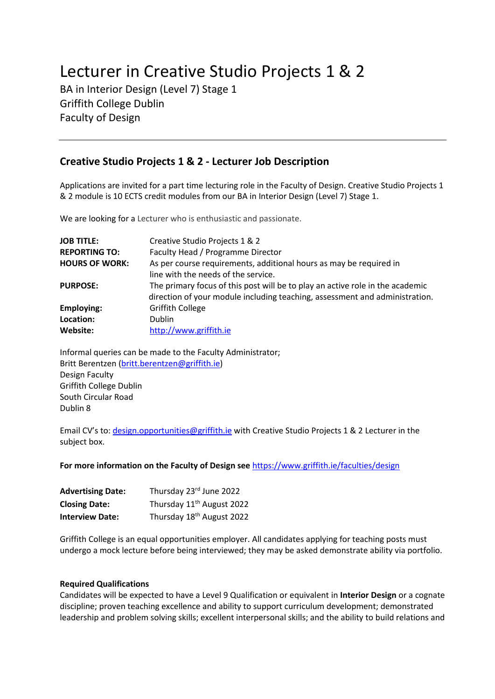# Lecturer in Creative Studio Projects 1 & 2

BA in Interior Design (Level 7) Stage 1 Griffith College Dublin Faculty of Design

# **Creative Studio Projects 1 & 2 - Lecturer Job Description**

Applications are invited for a part time lecturing role in the Faculty of Design. Creative Studio Projects 1 & 2 module is 10 ECTS credit modules from our BA in Interior Design (Level 7) Stage 1.

We are looking for a Lecturer who is enthusiastic and passionate.

| <b>JOB TITLE:</b>     | Creative Studio Projects 1 & 2                                                                                                                               |
|-----------------------|--------------------------------------------------------------------------------------------------------------------------------------------------------------|
| <b>REPORTING TO:</b>  | Faculty Head / Programme Director                                                                                                                            |
| <b>HOURS OF WORK:</b> | As per course requirements, additional hours as may be required in                                                                                           |
|                       | line with the needs of the service.                                                                                                                          |
| <b>PURPOSE:</b>       | The primary focus of this post will be to play an active role in the academic<br>direction of your module including teaching, assessment and administration. |
| <b>Employing:</b>     | <b>Griffith College</b>                                                                                                                                      |
| Location:             | <b>Dublin</b>                                                                                                                                                |
| Website:              | http://www.griffith.ie                                                                                                                                       |

Informal queries can be made to the Faculty Administrator; Britt Berentzen [\(britt.berentzen@griffith.ie\)](mailto:britt.berentzen@griffith.ie) Design Faculty Griffith College Dublin South Circular Road Dublin 8

Email CV's to: [design.opportunities@griffith.ie](mailto:design.opportunities@griffith.ie) with Creative Studio Projects 1 & 2 Lecturer in the subject box.

**For more information on the Faculty of Design see** <https://www.griffith.ie/faculties/design>

| <b>Advertising Date:</b> | Thursday 23rd June 2022               |
|--------------------------|---------------------------------------|
| <b>Closing Date:</b>     | Thursday 11 <sup>th</sup> August 2022 |
| <b>Interview Date:</b>   | Thursday 18 <sup>th</sup> August 2022 |

Griffith College is an equal opportunities employer. All candidates applying for teaching posts must undergo a mock lecture before being interviewed; they may be asked demonstrate ability via portfolio.

## **Required Qualifications**

Candidates will be expected to have a Level 9 Qualification or equivalent in **Interior Design** or a cognate discipline; proven teaching excellence and ability to support curriculum development; demonstrated leadership and problem solving skills; excellent interpersonal skills; and the ability to build relations and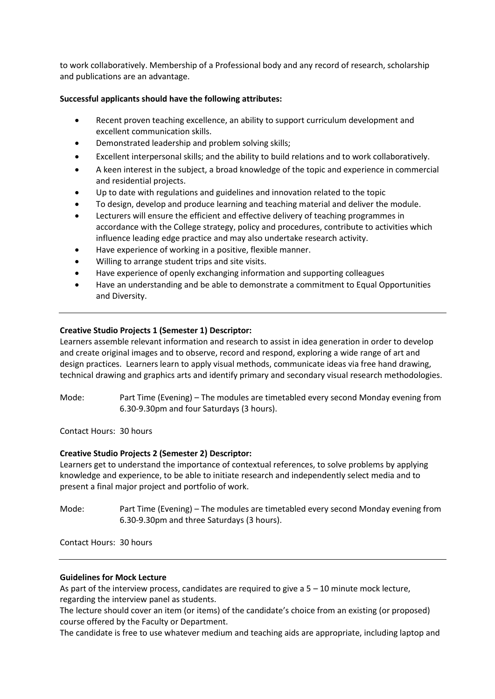to work collaboratively. Membership of a Professional body and any record of research, scholarship and publications are an advantage.

### **Successful applicants should have the following attributes:**

- Recent proven teaching excellence, an ability to support curriculum development and excellent communication skills.
- Demonstrated leadership and problem solving skills;
- Excellent interpersonal skills; and the ability to build relations and to work collaboratively.
- A keen interest in the subject, a broad knowledge of the topic and experience in commercial and residential projects.
- Up to date with regulations and guidelines and innovation related to the topic
- To design, develop and produce learning and teaching material and deliver the module.
- Lecturers will ensure the efficient and effective delivery of teaching programmes in accordance with the College strategy, policy and procedures, contribute to activities which influence leading edge practice and may also undertake research activity.
- Have experience of working in a positive, flexible manner.
- Willing to arrange student trips and site visits.
- Have experience of openly exchanging information and supporting colleagues
- Have an understanding and be able to demonstrate a commitment to Equal Opportunities and Diversity.

#### **Creative Studio Projects 1 (Semester 1) Descriptor:**

Learners assemble relevant information and research to assist in idea generation in order to develop and create original images and to observe, record and respond, exploring a wide range of art and design practices. Learners learn to apply visual methods, communicate ideas via free hand drawing, technical drawing and graphics arts and identify primary and secondary visual research methodologies.

Mode: Part Time (Evening) – The modules are timetabled every second Monday evening from 6.30-9.30pm and four Saturdays (3 hours).

Contact Hours: 30 hours

#### **Creative Studio Projects 2 (Semester 2) Descriptor:**

Learners get to understand the importance of contextual references, to solve problems by applying knowledge and experience, to be able to initiate research and independently select media and to present a final major project and portfolio of work.

Mode: Part Time (Evening) – The modules are timetabled every second Monday evening from 6.30-9.30pm and three Saturdays (3 hours).

Contact Hours: 30 hours

#### **Guidelines for Mock Lecture**

As part of the interview process, candidates are required to give a 5 – 10 minute mock lecture, regarding the interview panel as students.

The lecture should cover an item (or items) of the candidate's choice from an existing (or proposed) course offered by the Faculty or Department.

The candidate is free to use whatever medium and teaching aids are appropriate, including laptop and